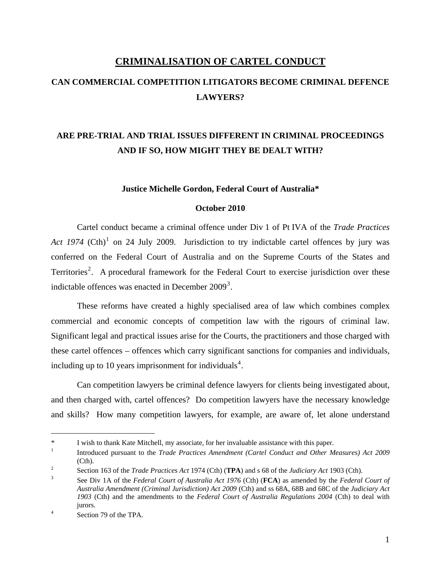# **CRIMINALISATION OF CARTEL CONDUCT**

# **CAN COMMERCIAL COMPETITION LITIGATORS BECOME CRIMINAL DEFENCE LAWYERS?**

# **ARE PRE-TRIAL AND TRIAL ISSUES DIFFERENT IN CRIMINAL PROCEEDINGS AND IF SO, HOW MIGHT THEY BE DEALT WITH?**

#### **Justice Michelle Gordon, Federal Court of Australia\***

#### **October 2010**

Cartel conduct became a criminal offence under Div 1 of Pt IVA of the *Trade Practices*  Act [1](#page-0-0)974  $(Ch)^1$  on 24 July 2009. Jurisdiction to try indictable cartel offences by jury was conferred on the Federal Court of Australia and on the Supreme Courts of the States and Territories<sup>[2](#page-0-1)</sup>. A procedural framework for the Federal Court to exercise jurisdiction over these indictable offences was enacted in December  $2009<sup>3</sup>$  $2009<sup>3</sup>$  $2009<sup>3</sup>$ .

These reforms have created a highly specialised area of law which combines complex commercial and economic concepts of competition law with the rigours of criminal law. Significant legal and practical issues arise for the Courts, the practitioners and those charged with these cartel offences – offences which carry significant sanctions for companies and individuals, including up to 10 years imprisonment for individuals<sup>[4](#page-0-3)</sup>.

Can competition lawyers be criminal defence lawyers for clients being investigated about, and then charged with, cartel offences? Do competition lawyers have the necessary knowledge and skills? How many competition lawyers, for example, are aware of, let alone understand

<span id="page-0-0"></span><sup>\*</sup> I wish to thank Kate Mitchell, my associate, for her invaluable assistance with this paper. 1

Introduced pursuant to the *Trade Practices Amendment (Cartel Conduct and Other Measures) Act 2009*   $\overline{\text{Cth}}$ .

<span id="page-0-1"></span>Section 163 of the *Trade Practices Act* 1974 (Cth) (**TPA**) and s 68 of the *Judiciary Act* 1903 (Cth).

<span id="page-0-2"></span>See Div 1A of the *Federal Court of Australia Act 1976* (Cth) (**FCA**) as amended by the *Federal Court of Australia Amendment (Criminal Jurisdiction) Act 2009* (Cth) and ss 68A, 68B and 68C of the *Judiciary Act 1903* (Cth) and the amendments to the *Federal Court of Australia Regulations 2004* (Cth) to deal with jurors. 4

<span id="page-0-3"></span>Section 79 of the TPA.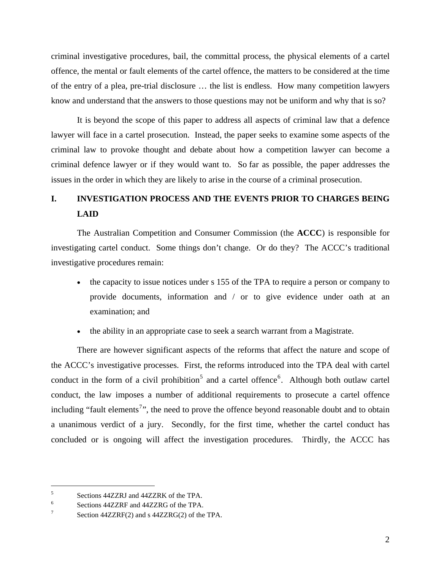criminal investigative procedures, bail, the committal process, the physical elements of a cartel offence, the mental or fault elements of the cartel offence, the matters to be considered at the time of the entry of a plea, pre-trial disclosure … the list is endless. How many competition lawyers know and understand that the answers to those questions may not be uniform and why that is so?

It is beyond the scope of this paper to address all aspects of criminal law that a defence lawyer will face in a cartel prosecution. Instead, the paper seeks to examine some aspects of the criminal law to provoke thought and debate about how a competition lawyer can become a criminal defence lawyer or if they would want to. So far as possible, the paper addresses the issues in the order in which they are likely to arise in the course of a criminal prosecution.

# **I. INVESTIGATION PROCESS AND THE EVENTS PRIOR TO CHARGES BEING LAID**

The Australian Competition and Consumer Commission (the **ACCC**) is responsible for investigating cartel conduct. Some things don't change. Or do they? The ACCC's traditional investigative procedures remain:

- the capacity to issue notices under s 155 of the TPA to require a person or company to provide documents, information and / or to give evidence under oath at an examination; and
- the ability in an appropriate case to seek a search warrant from a Magistrate.

There are however significant aspects of the reforms that affect the nature and scope of the ACCC's investigative processes. First, the reforms introduced into the TPA deal with cartel conduct in the form of a civil prohibition<sup>[5](#page-1-0)</sup> and a cartel offence<sup>[6](#page-1-1)</sup>. Although both outlaw cartel conduct, the law imposes a number of additional requirements to prosecute a cartel offence including "fault elements<sup>[7](#page-1-2)</sup>", the need to prove the offence beyond reasonable doubt and to obtain a unanimous verdict of a jury. Secondly, for the first time, whether the cartel conduct has concluded or is ongoing will affect the investigation procedures. Thirdly, the ACCC has

<span id="page-1-0"></span><sup>5</sup> Sections 44ZZRJ and 44ZZRK of the TPA.

<span id="page-1-1"></span><sup>6</sup> Sections 44ZZRF and 44ZZRG of the TPA.

<span id="page-1-2"></span><sup>7</sup> Section 44ZZRF(2) and s 44ZZRG(2) of the TPA.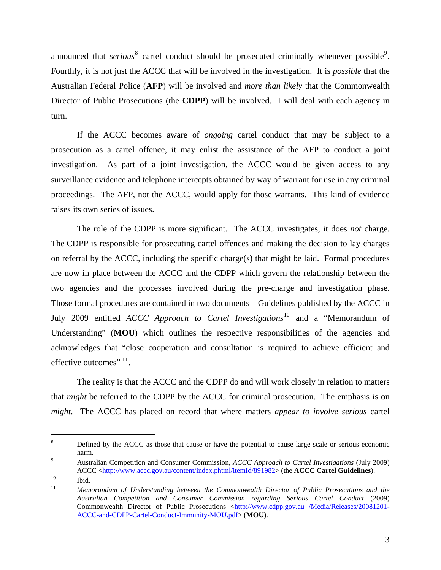announced that *serious*<sup>[8](#page-2-0)</sup> cartel conduct should be prosecuted criminally whenever possible<sup>[9](#page-2-1)</sup>. Fourthly, it is not just the ACCC that will be involved in the investigation. It is *possible* that the Australian Federal Police (**AFP**) will be involved and *more than likely* that the Commonwealth Director of Public Prosecutions (the **CDPP**) will be involved. I will deal with each agency in turn.

If the ACCC becomes aware of *ongoing* cartel conduct that may be subject to a prosecution as a cartel offence, it may enlist the assistance of the AFP to conduct a joint investigation. As part of a joint investigation, the ACCC would be given access to any surveillance evidence and telephone intercepts obtained by way of warrant for use in any criminal proceedings. The AFP, not the ACCC, would apply for those warrants. This kind of evidence raises its own series of issues.

The role of the CDPP is more significant. The ACCC investigates, it does *not* charge. The CDPP is responsible for prosecuting cartel offences and making the decision to lay charges on referral by the ACCC, including the specific charge(s) that might be laid. Formal procedures are now in place between the ACCC and the CDPP which govern the relationship between the two agencies and the processes involved during the pre-charge and investigation phase. Those formal procedures are contained in two documents – Guidelines published by the ACCC in July 2009 entitled *ACCC Approach to Cartel Investigations*[10](#page-2-2) and a "Memorandum of Understanding" (MOU) which outlines the respective responsibilities of the agencies and acknowledges that "close cooperation and consultation is required to achieve efficient and effective outcomes"  $11$ .

The reality is that the ACCC and the CDPP do and will work closely in relation to matters that *might* be referred to the CDPP by the ACCC for criminal prosecution. The emphasis is on *might*. The ACCC has placed on record that where matters *appear to involve serious* cartel

<span id="page-2-0"></span><sup>8</sup> Defined by the ACCC as those that cause or have the potential to cause large scale or serious economic  $harm.$ 

<span id="page-2-1"></span>Australian Competition and Consumer Commission, *ACCC Approach to Cartel Investigations* (July 2009) ACCC <http://www.accc.gov.au/content/index.phtml/itemId/891982> (the **ACCC Cartel Guidelines**).<br>
<sup>10</sup> Ibid.

<span id="page-2-2"></span>

<span id="page-2-3"></span><sup>11</sup> *Memorandum of Understanding between the Commonwealth Director of Public Prosecutions and the Australian Competition and Consumer Commission regarding Serious Cartel Conduct* (2009) Commonwealth Director of Public Prosecutions <[http://www.cdpp.gov.au /Media/Releases/20081201-](http://www.cdpp.gov.au/Media/Releases/20081201-ACCC-and-CDPP-Cartel-Conduct-Immunity-MOU.pdf) [ACCC-and-CDPP-Cartel-Conduct-Immunity-MOU.pdf>](http://www.cdpp.gov.au/Media/Releases/20081201-ACCC-and-CDPP-Cartel-Conduct-Immunity-MOU.pdf) (**MOU**).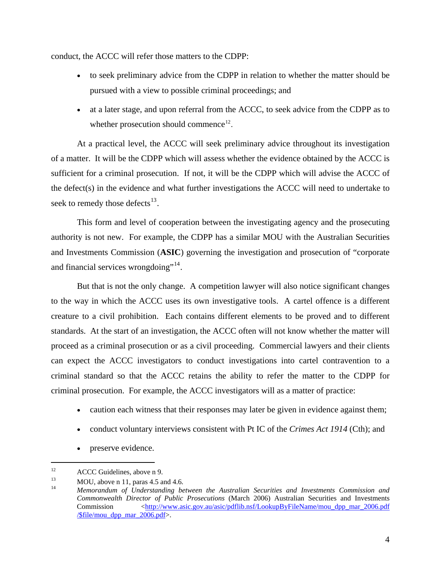conduct, the ACCC will refer those matters to the CDPP:

- to seek preliminary advice from the CDPP in relation to whether the matter should be pursued with a view to possible criminal proceedings; and
- at a later stage, and upon referral from the ACCC, to seek advice from the CDPP as to whether prosecution should commence<sup>[12](#page-3-0)</sup>.

At a practical level, the ACCC will seek preliminary advice throughout its investigation of a matter. It will be the CDPP which will assess whether the evidence obtained by the ACCC is sufficient for a criminal prosecution. If not, it will be the CDPP which will advise the ACCC of the defect(s) in the evidence and what further investigations the ACCC will need to undertake to seek to remedy those defects $^{13}$  $^{13}$  $^{13}$ .

This form and level of cooperation between the investigating agency and the prosecuting authority is not new. For example, the CDPP has a similar MOU with the Australian Securities and Investments Commission (**ASIC**) governing the investigation and prosecution of "corporate and financial services wrongdoing"<sup>[14](#page-3-2)</sup>.

But that is not the only change. A competition lawyer will also notice significant changes to the way in which the ACCC uses its own investigative tools. A cartel offence is a different creature to a civil prohibition. Each contains different elements to be proved and to different standards. At the start of an investigation, the ACCC often will not know whether the matter will proceed as a criminal prosecution or as a civil proceeding. Commercial lawyers and their clients can expect the ACCC investigators to conduct investigations into cartel contravention to a criminal standard so that the ACCC retains the ability to refer the matter to the CDPP for criminal prosecution. For example, the ACCC investigators will as a matter of practice:

- caution each witness that their responses may later be given in evidence against them;
- conduct voluntary interviews consistent with Pt IC of the *Crimes Act 1914* (Cth); and
- preserve evidence.

<span id="page-3-0"></span><sup>&</sup>lt;sup>12</sup> ACCC Guidelines, above n 9.<br><sup>13</sup> MOU shave n 11 perce 4.5 s

<span id="page-3-1"></span> $13$  MOU, above n 11, paras 4.5 and 4.6.

<span id="page-3-2"></span><sup>14</sup> *Memorandum of Understanding between the Australian Securities and Investments Commission and Commonwealth Director of Public Prosecutions* (March 2006) Australian Securities and Investments Commission [<http://www.asic.gov.au/asic/pdflib.nsf/LookupByFileName/mou\\_dpp\\_mar\\_2006.pdf](http://www.asic.gov.au/asic/pdflib.nsf/LookupByFileName/mou_dpp_mar_2006.pdf%20/$file/mou_dpp_mar_2006.pdf)  [/\\$file/mou\\_dpp\\_mar\\_2006.pdf>](http://www.asic.gov.au/asic/pdflib.nsf/LookupByFileName/mou_dpp_mar_2006.pdf%20/$file/mou_dpp_mar_2006.pdf).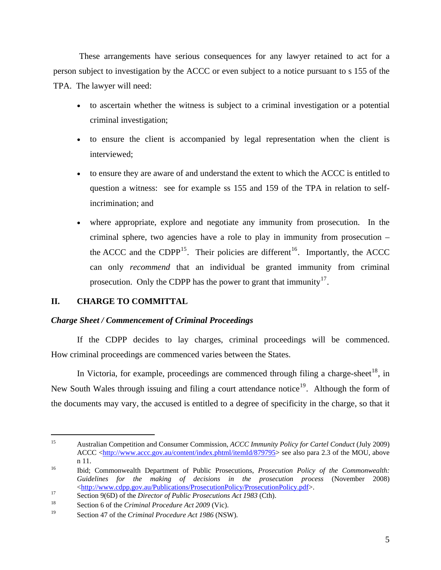These arrangements have serious consequences for any lawyer retained to act for a person subject to investigation by the ACCC or even subject to a notice pursuant to s 155 of the TPA. The lawyer will need:

- to ascertain whether the witness is subject to a criminal investigation or a potential criminal investigation;
- to ensure the client is accompanied by legal representation when the client is interviewed;
- to ensure they are aware of and understand the extent to which the ACCC is entitled to question a witness: see for example ss 155 and 159 of the TPA in relation to selfincrimination; and
- where appropriate, explore and negotiate any immunity from prosecution. In the criminal sphere, two agencies have a role to play in immunity from prosecution – the ACCC and the CDPP<sup>[15](#page-4-0)</sup>. Their policies are different<sup>[16](#page-4-1)</sup>. Importantly, the ACCC can only *recommend* that an individual be granted immunity from criminal prosecution. Only the CDPP has the power to grant that immunity<sup>[17](#page-4-2)</sup>.

# **II. CHARGE TO COMMITTAL**

 $\overline{a}$ 

# *Charge Sheet / Commencement of Criminal Proceedings*

If the CDPP decides to lay charges, criminal proceedings will be commenced. How criminal proceedings are commenced varies between the States.

In Victoria, for example, proceedings are commenced through filing a charge-sheet<sup>[18](#page-4-3)</sup>, in New South Wales through issuing and filing a court attendance notice<sup>[19](#page-4-4)</sup>. Although the form of the documents may vary, the accused is entitled to a degree of specificity in the charge, so that it

<span id="page-4-0"></span><sup>15</sup> Australian Competition and Consumer Commission, *ACCC Immunity Policy for Cartel Conduct* (July 2009) ACCC <[http://www.accc.gov.au/content/index.phtml/itemId/879795>](http://www.accc.gov.au/content/index.phtml/itemId/879795) see also para 2.3 of the MOU, above n 11. 16 Ibid; Commonwealth Department of Public Prosecutions, *Prosecution Policy of the Commonwealth:* 

<span id="page-4-1"></span>*Guidelines for the making of decisions in the prosecution process* (November 2008) <[http://www.cdpp.gov.au/Publications/ProsecutionPolicy/ProsecutionPolicy.pdf>](http://www.cdpp.gov.au/Publications/ProsecutionPolicy/ProsecutionPolicy.pdf). 17 Section 9(6D) of the *Director of Public Prosecutions Act 1983* (Cth). 18 Section 6 of the *Criminal Procedure Act 2009* (Vic).

<span id="page-4-2"></span>

<span id="page-4-3"></span>

<span id="page-4-4"></span><sup>19</sup> Section 47 of the *Criminal Procedure Act 1986* (NSW).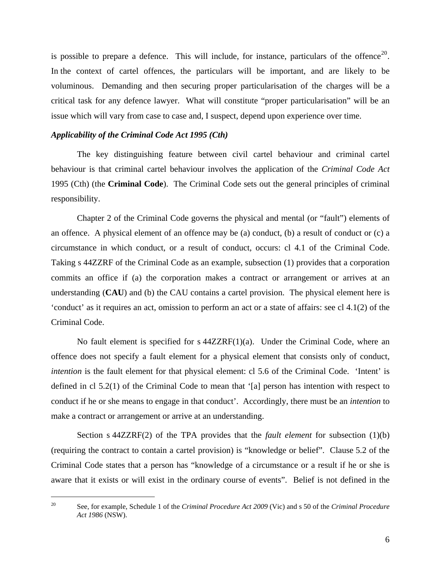is possible to prepare a defence. This will include, for instance, particulars of the offence<sup>[20](#page-5-0)</sup>. In the context of cartel offences, the particulars will be important, and are likely to be voluminous. Demanding and then securing proper particularisation of the charges will be a critical task for any defence lawyer. What will constitute "proper particularisation" will be an issue which will vary from case to case and, I suspect, depend upon experience over time.

#### *Applicability of the Criminal Code Act 1995 (Cth)*

The key distinguishing feature between civil cartel behaviour and criminal cartel behaviour is that criminal cartel behaviour involves the application of the *Criminal Code Act*  1995 (Cth) (the **Criminal Code**). The Criminal Code sets out the general principles of criminal responsibility.

Chapter 2 of the Criminal Code governs the physical and mental (or "fault") elements of an offence. A physical element of an offence may be (a) conduct, (b) a result of conduct or (c) a circumstance in which conduct, or a result of conduct, occurs: cl 4.1 of the Criminal Code. Taking s 44ZZRF of the Criminal Code as an example, subsection (1) provides that a corporation commits an office if (a) the corporation makes a contract or arrangement or arrives at an understanding (**CAU**) and (b) the CAU contains a cartel provision. The physical element here is 'conduct' as it requires an act, omission to perform an act or a state of affairs: see cl 4.1(2) of the Criminal Code.

No fault element is specified for s 44ZZRF(1)(a). Under the Criminal Code, where an offence does not specify a fault element for a physical element that consists only of conduct, *intention* is the fault element for that physical element: cl 5.6 of the Criminal Code. 'Intent' is defined in cl 5.2(1) of the Criminal Code to mean that '[a] person has intention with respect to conduct if he or she means to engage in that conduct'. Accordingly, there must be an *intention* to make a contract or arrangement or arrive at an understanding.

Section s 44ZZRF(2) of the TPA provides that the *fault element* for subsection (1)(b) (requiring the contract to contain a cartel provision) is "knowledge or belief". Clause 5.2 of the Criminal Code states that a person has "knowledge of a circumstance or a result if he or she is aware that it exists or will exist in the ordinary course of events". Belief is not defined in the

<span id="page-5-0"></span><sup>20</sup> See, for example, Schedule 1 of the *Criminal Procedure Act 2009* (Vic) and s 50 of the *Criminal Procedure Act 1986* (NSW).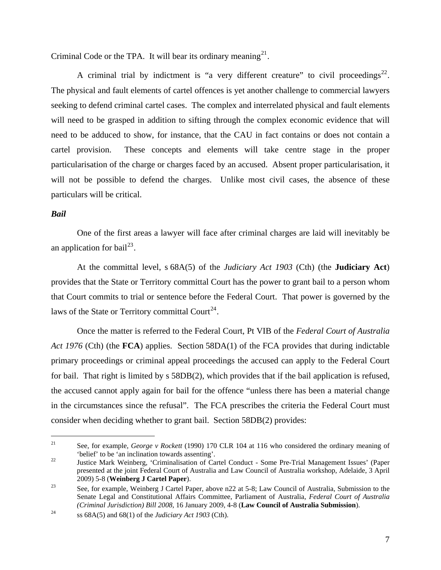Criminal Code or the TPA. It will bear its ordinary meaning  $2^1$ .

A criminal trial by indictment is "a very different creature" to civil proceedings<sup>[22](#page-6-1)</sup>. The physical and fault elements of cartel offences is yet another challenge to commercial lawyers seeking to defend criminal cartel cases. The complex and interrelated physical and fault elements will need to be grasped in addition to sifting through the complex economic evidence that will need to be adduced to show, for instance, that the CAU in fact contains or does not contain a cartel provision. These concepts and elements will take centre stage in the proper particularisation of the charge or charges faced by an accused. Absent proper particularisation, it will not be possible to defend the charges. Unlike most civil cases, the absence of these particulars will be critical.

# *Bail*

 $\overline{a}$ 

One of the first areas a lawyer will face after criminal charges are laid will inevitably be an application for bail<sup>[23](#page-6-2)</sup>.

At the committal level, s 68A(5) of the *Judiciary Act 1903* (Cth) (the **Judiciary Act**) provides that the State or Territory committal Court has the power to grant bail to a person whom that Court commits to trial or sentence before the Federal Court. That power is governed by the laws of the State or Territory committal Court<sup>[24](#page-6-3)</sup>.

Once the matter is referred to the Federal Court, Pt VIB of the *Federal Court of Australia Act 1976* (Cth) (the **FCA**) applies. Section 58DA(1) of the FCA provides that during indictable primary proceedings or criminal appeal proceedings the accused can apply to the Federal Court for bail. That right is limited by s 58DB(2), which provides that if the bail application is refused, the accused cannot apply again for bail for the offence "unless there has been a material change in the circumstances since the refusal". The FCA prescribes the criteria the Federal Court must consider when deciding whether to grant bail. Section 58DB(2) provides:

<span id="page-6-0"></span><sup>21</sup> See, for example, *George v Rockett* (1990) 170 CLR 104 at 116 who considered the ordinary meaning of 'belief' to be 'an inclination towards assenting'. 22 Justice Mark Weinberg, 'Criminalisation of Cartel Conduct - Some Pre-Trial Management Issues' (Paper

<span id="page-6-1"></span>presented at the joint Federal Court of Australia and Law Council of Australia workshop, Adelaide, 3 April 2009) 5-8 (**Weinberg J Cartel Paper**).<br><sup>23</sup> See, for example, Weinberg J Cartel Paper, above n22 at 5-8; Law Council of Australia, Submission to the

<span id="page-6-2"></span>Senate Legal and Constitutional Affairs Committee, Parliament of Australia, *Federal Court of Australia (Criminal Jurisdiction) Bill 2008, 16 January 2009, 4-8 (Law Council of Australia Submission).*<br>
24 ss 68A(5) and 68(1) of the *Judiciary Act 1903* (Cth).

<span id="page-6-3"></span>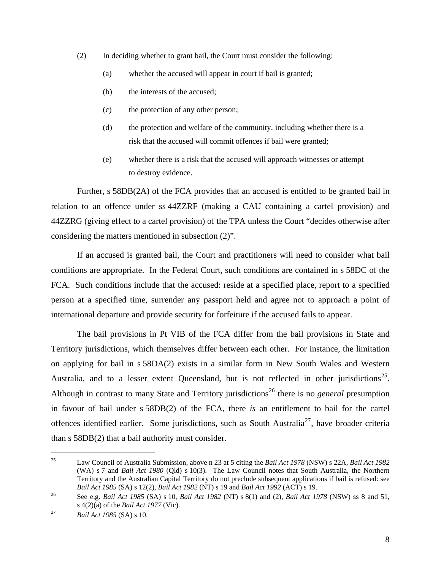- (2) In deciding whether to grant bail, the Court must consider the following:
	- (a) whether the accused will appear in court if bail is granted;
	- (b) the interests of the accused;
	- (c) the protection of any other person;
	- (d) the protection and welfare of the community, including whether there is a risk that the accused will commit offences if bail were granted;
	- (e) whether there is a risk that the accused will approach witnesses or attempt to destroy evidence.

Further, s 58DB(2A) of the FCA provides that an accused is entitled to be granted bail in relation to an offence under ss 44ZZRF (making a CAU containing a cartel provision) and 44ZZRG (giving effect to a cartel provision) of the TPA unless the Court "decides otherwise after considering the matters mentioned in subsection (2)".

If an accused is granted bail, the Court and practitioners will need to consider what bail conditions are appropriate. In the Federal Court, such conditions are contained in s 58DC of the FCA. Such conditions include that the accused: reside at a specified place, report to a specified person at a specified time, surrender any passport held and agree not to approach a point of international departure and provide security for forfeiture if the accused fails to appear.

The bail provisions in Pt VIB of the FCA differ from the bail provisions in State and Territory jurisdictions, which themselves differ between each other. For instance, the limitation on applying for bail in s 58DA(2) exists in a similar form in New South Wales and Western Australia, and to a lesser extent Queensland, but is not reflected in other jurisdictions<sup>[25](#page-7-0)</sup>. Although in contrast to many State and Territory jurisdictions<sup>[26](#page-7-1)</sup> there is no *general* presumption in favour of bail under s 58DB(2) of the FCA, there *is* an entitlement to bail for the cartel offences identified earlier. Some jurisdictions, such as South Australia<sup>[27](#page-7-2)</sup>, have broader criteria than s 58DB(2) that a bail authority must consider.

<span id="page-7-0"></span><sup>25</sup> Law Council of Australia Submission, above n 23 at 5 citing the *Bail Act 1978* (NSW) s 22A, *Bail Act 1982*  (WA) s 7 and *Bail Act 1980* (Qld) s 10(3). The Law Council notes that South Australia, the Northern Territory and the Australian Capital Territory do not preclude subsequent applications if bail is refused: see<br>Bail Act 1985 (SA) s 12(2), Bail Act 1982 (NT) s 19 and Bail Act 1992 (ACT) s 19.

<span id="page-7-1"></span><sup>&</sup>lt;sup>26</sup> See e.g. *Bail Act 1985* (SA) s 10, *Bail Act 1982* (NT) s 8(1) and (2), *Bail Act 1978* (NSW) ss 8 and 51, s 4(2)(a) of the *Bail Act 1977* (Vic). 27 *Bail Act 1985* (SA) s 10.

<span id="page-7-2"></span>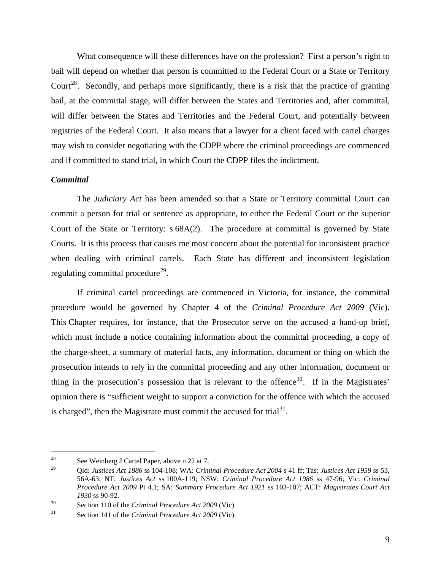What consequence will these differences have on the profession? First a person's right to bail will depend on whether that person is committed to the Federal Court or a State or Territory Court<sup>[28](#page-8-0)</sup>. Secondly, and perhaps more significantly, there is a risk that the practice of granting bail, at the committal stage, will differ between the States and Territories and, after committal, will differ between the States and Territories and the Federal Court, and potentially between registries of the Federal Court. It also means that a lawyer for a client faced with cartel charges may wish to consider negotiating with the CDPP where the criminal proceedings are commenced and if committed to stand trial, in which Court the CDPP files the indictment.

#### *Committal*

 $\overline{a}$ 

The *Judiciary Act* has been amended so that a State or Territory committal Court can commit a person for trial or sentence as appropriate, to either the Federal Court or the superior Court of the State or Territory: s 68A(2). The procedure at committal is governed by State Courts. It is this process that causes me most concern about the potential for inconsistent practice when dealing with criminal cartels. Each State has different and inconsistent legislation regulating committal procedure<sup>[29](#page-8-1)</sup>.

If criminal cartel proceedings are commenced in Victoria, for instance, the committal procedure would be governed by Chapter 4 of the *Criminal Procedure Act 2009* (Vic). This Chapter requires, for instance, that the Prosecutor serve on the accused a hand-up brief, which must include a notice containing information about the committal proceeding, a copy of the charge-sheet, a summary of material facts, any information, document or thing on which the prosecution intends to rely in the committal proceeding and any other information, document or thing in the prosecution's possession that is relevant to the offence<sup>[30](#page-8-2)</sup>. If in the Magistrates' opinion there is "sufficient weight to support a conviction for the offence with which the accused is charged", then the Magistrate must commit the accused for trial  $3<sup>1</sup>$ .

<span id="page-8-0"></span><sup>28</sup> See Weinberg J Cartel Paper, above n 22 at 7.

<span id="page-8-1"></span><sup>29</sup> Qld: *Justices Act 1886* ss 104-108; WA: *Criminal Procedure Act 2004* s 41 ff; Tas: *Justices Act 1959* ss 53, 56A-63; NT: *Justices Act* ss 100A-119; NSW: *Criminal Procedure Act 1986* ss 47-96; Vic: *Criminal Procedure Act 2009* Pt 4.1; SA: *Summary Procedure Act 1921* ss 103-107; ACT: *Magistrates Court Act 1930* ss 90-92.<br>
Section 110 of the *Criminal Procedure Act 2009* (Vic).<br>
Section 141 of the *Criminal Procedure Act 2009* (Vic).

<span id="page-8-2"></span>

<span id="page-8-3"></span>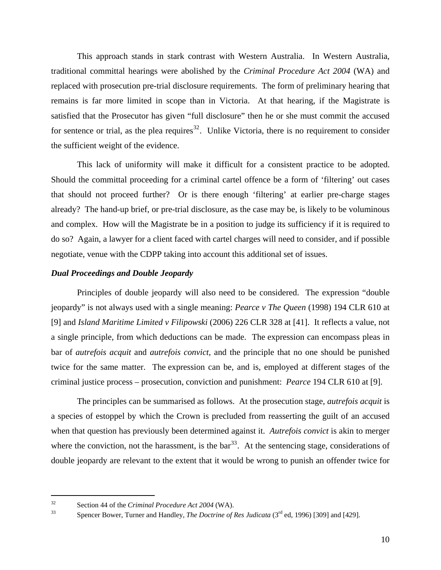This approach stands in stark contrast with Western Australia. In Western Australia, traditional committal hearings were abolished by the *Criminal Procedure Act 2004* (WA) and replaced with prosecution pre-trial disclosure requirements. The form of preliminary hearing that remains is far more limited in scope than in Victoria. At that hearing, if the Magistrate is satisfied that the Prosecutor has given "full disclosure" then he or she must commit the accused for sentence or trial, as the plea requires $32$ . Unlike Victoria, there is no requirement to consider the sufficient weight of the evidence.

This lack of uniformity will make it difficult for a consistent practice to be adopted. Should the committal proceeding for a criminal cartel offence be a form of 'filtering' out cases that should not proceed further? Or is there enough 'filtering' at earlier pre-charge stages already? The hand-up brief, or pre-trial disclosure, as the case may be, is likely to be voluminous and complex. How will the Magistrate be in a position to judge its sufficiency if it is required to do so? Again, a lawyer for a client faced with cartel charges will need to consider, and if possible negotiate, venue with the CDPP taking into account this additional set of issues.

#### *Dual Proceedings and Double Jeopardy*

Principles of double jeopardy will also need to be considered. The expression "double jeopardy" is not always used with a single meaning: *Pearce v The Queen* (1998) 194 CLR 610 at [9] and *Island Maritime Limited v Filipowski* (2006) 226 CLR 328 at [41]. It reflects a value, not a single principle, from which deductions can be made. The expression can encompass pleas in bar of *autrefois acquit* and *autrefois convict,* and the principle that no one should be punished twice for the same matter. The expression can be, and is, employed at different stages of the criminal justice process – prosecution, conviction and punishment: *Pearce* 194 CLR 610 at [9].

The principles can be summarised as follows. At the prosecution stage, *autrefois acquit* is a species of estoppel by which the Crown is precluded from reasserting the guilt of an accused when that question has previously been determined against it. *Autrefois convict* is akin to merger where the conviction, not the harassment, is the  $bar^{33}$  $bar^{33}$  $bar^{33}$ . At the sentencing stage, considerations of double jeopardy are relevant to the extent that it would be wrong to punish an offender twice for

<span id="page-9-1"></span>

<span id="page-9-0"></span><sup>32</sup> Section 44 of the *Criminal Procedure Act 2004* (WA). 33 Spencer Bower, Turner and Handley, *The Doctrine of Res Judicata* (3rd ed, 1996) [309] and [429].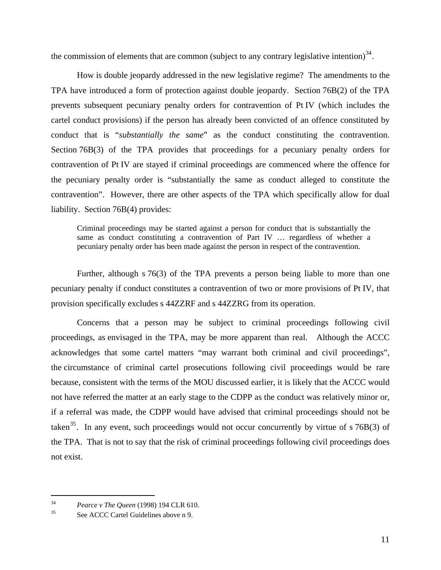the commission of elements that are common (subject to any contrary legislative intention)<sup>[34](#page-10-0)</sup>.

How is double jeopardy addressed in the new legislative regime? The amendments to the TPA have introduced a form of protection against double jeopardy. Section 76B(2) of the TPA prevents subsequent pecuniary penalty orders for contravention of Pt IV (which includes the cartel conduct provisions) if the person has already been convicted of an offence constituted by conduct that is "*substantially the same*" as the conduct constituting the contravention. Section 76B(3) of the TPA provides that proceedings for a pecuniary penalty orders for contravention of Pt IV are stayed if criminal proceedings are commenced where the offence for the pecuniary penalty order is "substantially the same as conduct alleged to constitute the contravention". However, there are other aspects of the TPA which specifically allow for dual liability. Section 76B(4) provides:

Criminal proceedings may be started against a person for conduct that is substantially the same as conduct constituting a contravention of Part IV … regardless of whether a pecuniary penalty order has been made against the person in respect of the contravention.

Further, although s 76(3) of the TPA prevents a person being liable to more than one pecuniary penalty if conduct constitutes a contravention of two or more provisions of Pt IV, that provision specifically excludes s 44ZZRF and s 44ZZRG from its operation.

Concerns that a person may be subject to criminal proceedings following civil proceedings, as envisaged in the TPA, may be more apparent than real. Although the ACCC acknowledges that some cartel matters "may warrant both criminal and civil proceedings", the circumstance of criminal cartel prosecutions following civil proceedings would be rare because, consistent with the terms of the MOU discussed earlier, it is likely that the ACCC would not have referred the matter at an early stage to the CDPP as the conduct was relatively minor or, if a referral was made, the CDPP would have advised that criminal proceedings should not be taken<sup>[35](#page-10-1)</sup>. In any event, such proceedings would not occur concurrently by virtue of s  $76B(3)$  of the TPA. That is not to say that the risk of criminal proceedings following civil proceedings does not exist.

<span id="page-10-0"></span><sup>&</sup>lt;sup>34</sup> *Pearce v The Queen* (1998) 194 CLR 610.<br><sup>35</sup> See ACCC Cartel Guidelines above n 9.

<span id="page-10-1"></span>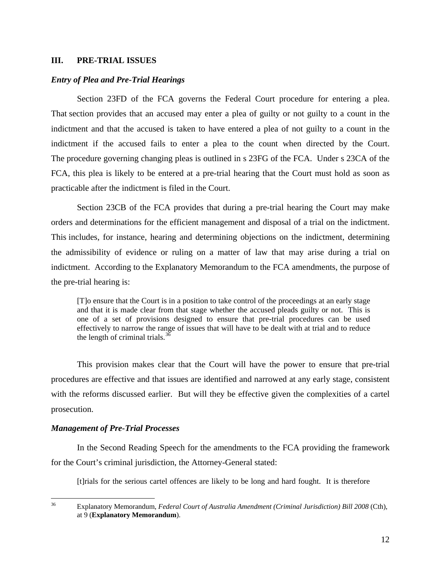# **III. PRE-TRIAL ISSUES**

#### *Entry of Plea and Pre-Trial Hearings*

Section 23FD of the FCA governs the Federal Court procedure for entering a plea. That section provides that an accused may enter a plea of guilty or not guilty to a count in the indictment and that the accused is taken to have entered a plea of not guilty to a count in the indictment if the accused fails to enter a plea to the count when directed by the Court. The procedure governing changing pleas is outlined in s 23FG of the FCA. Under s 23CA of the FCA, this plea is likely to be entered at a pre-trial hearing that the Court must hold as soon as practicable after the indictment is filed in the Court.

Section 23CB of the FCA provides that during a pre-trial hearing the Court may make orders and determinations for the efficient management and disposal of a trial on the indictment. This includes, for instance, hearing and determining objections on the indictment, determining the admissibility of evidence or ruling on a matter of law that may arise during a trial on indictment. According to the Explanatory Memorandum to the FCA amendments, the purpose of the pre-trial hearing is:

[T]o ensure that the Court is in a position to take control of the proceedings at an early stage and that it is made clear from that stage whether the accused pleads guilty or not. This is one of a set of provisions designed to ensure that pre-trial procedures can be used effectively to narrow the range of issues that will have to be dealt with at trial and to reduce the length of criminal trials. $3\overline{6}$ 

This provision makes clear that the Court will have the power to ensure that pre-trial procedures are effective and that issues are identified and narrowed at any early stage, consistent with the reforms discussed earlier. But will they be effective given the complexities of a cartel prosecution.

#### *Management of Pre-Trial Processes*

In the Second Reading Speech for the amendments to the FCA providing the framework for the Court's criminal jurisdiction, the Attorney-General stated:

[t]rials for the serious cartel offences are likely to be long and hard fought. It is therefore

<span id="page-11-0"></span>36 36 Explanatory Memorandum, *Federal Court of Australia Amendment (Criminal Jurisdiction) Bill 2008* (Cth), at 9 (**Explanatory Memorandum**).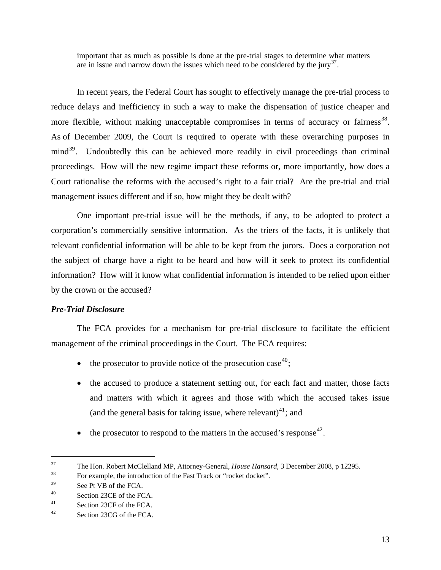important that as much as possible is done at the pre-trial stages to determine what matters are in issue and narrow down the issues which need to be considered by the jury<sup>[37](#page-12-0)</sup>.

In recent years, the Federal Court has sought to effectively manage the pre-trial process to reduce delays and inefficiency in such a way to make the dispensation of justice cheaper and more flexible, without making unacceptable compromises in terms of accuracy or fairness<sup>[38](#page-12-1)</sup>. As of December 2009, the Court is required to operate with these overarching purposes in mind<sup>[39](#page-12-2)</sup>. Undoubtedly this can be achieved more readily in civil proceedings than criminal proceedings. How will the new regime impact these reforms or, more importantly, how does a Court rationalise the reforms with the accused's right to a fair trial? Are the pre-trial and trial management issues different and if so, how might they be dealt with?

One important pre-trial issue will be the methods, if any, to be adopted to protect a corporation's commercially sensitive information. As the triers of the facts, it is unlikely that relevant confidential information will be able to be kept from the jurors. Does a corporation not the subject of charge have a right to be heard and how will it seek to protect its confidential information? How will it know what confidential information is intended to be relied upon either by the crown or the accused?

# *Pre-Trial Disclosure*

The FCA provides for a mechanism for pre-trial disclosure to facilitate the efficient management of the criminal proceedings in the Court. The FCA requires:

- the prosecutor to provide notice of the prosecution case<sup>[40](#page-12-3)</sup>;
- the accused to produce a statement setting out, for each fact and matter, those facts and matters with which it agrees and those with which the accused takes issue (and the general basis for taking issue, where relevant) $41$ ; and
- the prosecutor to respond to the matters in the accused's response<sup>[42](#page-12-5)</sup>.

<span id="page-12-0"></span><sup>&</sup>lt;sup>37</sup> The Hon. Robert McClelland MP, Attorney-General, *House Hansard*, 3 December 2008, p 12295.<br><sup>38</sup> For example, the introduction of the Fast Track or "rocket docket".

<span id="page-12-1"></span>

<span id="page-12-2"></span><sup>39</sup> See Pt VB of the FCA.

<span id="page-12-3"></span><sup>40</sup> Section 23CE of the FCA.

<span id="page-12-4"></span><sup>41</sup> Section 23CF of the FCA.

<span id="page-12-5"></span><sup>42</sup> Section 23CG of the FCA.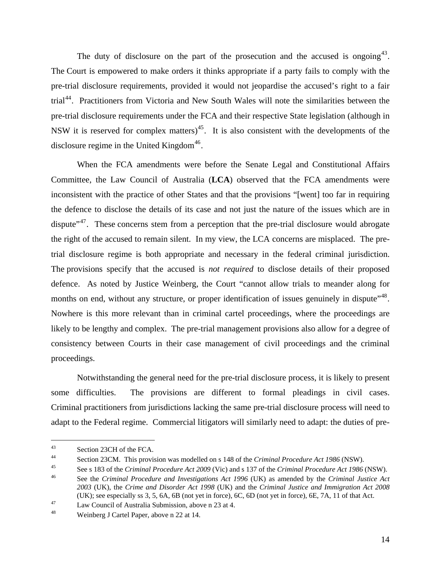The duty of disclosure on the part of the prosecution and the accused is ongoing  $43$ . The Court is empowered to make orders it thinks appropriate if a party fails to comply with the pre-trial disclosure requirements, provided it would not jeopardise the accused's right to a fair trial<sup>[44](#page-13-1)</sup>. Practitioners from Victoria and New South Wales will note the similarities between the pre-trial disclosure requirements under the FCA and their respective State legislation (although in NSW it is reserved for complex matters)<sup>[45](#page-13-2)</sup>. It is also consistent with the developments of the disclosure regime in the United Kingdom<sup>[46](#page-13-3)</sup>.

When the FCA amendments were before the Senate Legal and Constitutional Affairs Committee, the Law Council of Australia (**LCA**) observed that the FCA amendments were inconsistent with the practice of other States and that the provisions "[went] too far in requiring the defence to disclose the details of its case and not just the nature of the issues which are in dispute<sup>"[47](#page-13-4)</sup>. These concerns stem from a perception that the pre-trial disclosure would abrogate the right of the accused to remain silent. In my view, the LCA concerns are misplaced. The pretrial disclosure regime is both appropriate and necessary in the federal criminal jurisdiction. The provisions specify that the accused is *not required* to disclose details of their proposed defence. As noted by Justice Weinberg, the Court "cannot allow trials to meander along for months on end, without any structure, or proper identification of issues genuinely in dispute"<sup>[48](#page-13-5)</sup>. Nowhere is this more relevant than in criminal cartel proceedings, where the proceedings are likely to be lengthy and complex. The pre-trial management provisions also allow for a degree of consistency between Courts in their case management of civil proceedings and the criminal proceedings.

Notwithstanding the general need for the pre-trial disclosure process, it is likely to present some difficulties. The provisions are different to formal pleadings in civil cases. Criminal practitioners from jurisdictions lacking the same pre-trial disclosure process will need to adapt to the Federal regime. Commercial litigators will similarly need to adapt: the duties of pre-

<span id="page-13-0"></span><sup>43</sup> Section 23CH of the FCA.

<span id="page-13-1"></span><sup>&</sup>lt;sup>44</sup><br>Section 23CM. This provision was modelled on s 148 of the *Criminal Procedure Act 1986* (NSW).<br>See s 183 of the *Criminal Procedure Act 2009* (Vic) and s 137 of the *Criminal Procedure Act 1986* (NSW).<br>See the *Crimin* 

<span id="page-13-3"></span><span id="page-13-2"></span>*<sup>2003</sup>* (UK), the *Crime and Disorder Act 1998* (UK) and the *Criminal Justice and Immigration Act 2008*  (UK); see especially ss 3, 5, 6A, 6B (not yet in force), 6C, 6D (not yet in force), 6E, 7A, 11 of that Act. 47 Law Council of Australia Submission, above n 23 at 4.

<span id="page-13-4"></span>

<span id="page-13-5"></span><sup>48</sup> Weinberg J Cartel Paper, above n 22 at 14.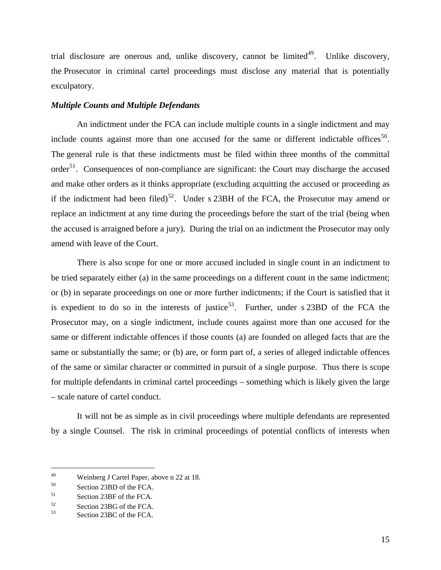trial disclosure are onerous and, unlike discovery, cannot be limited<sup>[49](#page-14-0)</sup>. Unlike discovery, the Prosecutor in criminal cartel proceedings must disclose any material that is potentially exculpatory.

#### *Multiple Counts and Multiple Defendants*

An indictment under the FCA can include multiple counts in a single indictment and may include counts against more than one accused for the same or different indictable offices<sup>[50](#page-14-1)</sup>. The general rule is that these indictments must be filed within three months of the committal order $51$ . Consequences of non-compliance are significant: the Court may discharge the accused and make other orders as it thinks appropriate (excluding acquitting the accused or proceeding as if the indictment had been filed)<sup>[52](#page-14-3)</sup>. Under s 23BH of the FCA, the Prosecutor may amend or replace an indictment at any time during the proceedings before the start of the trial (being when the accused is arraigned before a jury). During the trial on an indictment the Prosecutor may only amend with leave of the Court.

There is also scope for one or more accused included in single count in an indictment to be tried separately either (a) in the same proceedings on a different count in the same indictment; or (b) in separate proceedings on one or more further indictments; if the Court is satisfied that it is expedient to do so in the interests of justice<sup>[53](#page-14-4)</sup>. Further, under s 23BD of the FCA the Prosecutor may, on a single indictment, include counts against more than one accused for the same or different indictable offences if those counts (a) are founded on alleged facts that are the same or substantially the same; or (b) are, or form part of, a series of alleged indictable offences of the same or similar character or committed in pursuit of a single purpose. Thus there is scope for multiple defendants in criminal cartel proceedings – something which is likely given the large – scale nature of cartel conduct.

It will not be as simple as in civil proceedings where multiple defendants are represented by a single Counsel. The risk in criminal proceedings of potential conflicts of interests when

<span id="page-14-0"></span><sup>49</sup> Weinberg J Cartel Paper, above n 22 at 18.

<span id="page-14-1"></span><sup>50</sup> Section 23BD of the FCA.

<span id="page-14-2"></span><sup>51</sup> Section 23BF of the FCA.

<span id="page-14-3"></span> $52$  Section 23BG of the FCA.<br>Sassing 22DC of the EGA.

<span id="page-14-4"></span>Section 23BC of the FCA.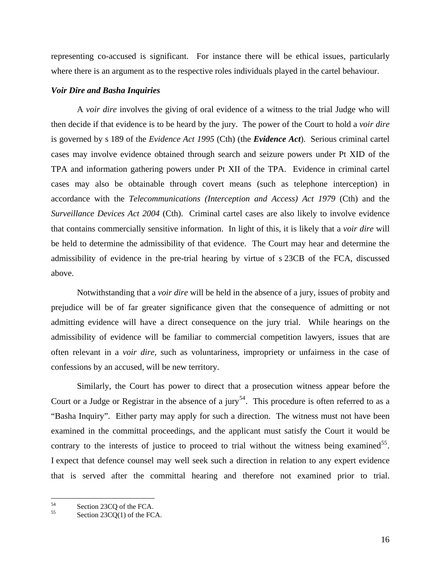representing co-accused is significant. For instance there will be ethical issues, particularly where there is an argument as to the respective roles individuals played in the cartel behaviour.

#### *Voir Dire and Basha Inquiries*

A *voir dire* involves the giving of oral evidence of a witness to the trial Judge who will then decide if that evidence is to be heard by the jury. The power of the Court to hold a *voir dire* is governed by s 189 of the *Evidence Act 1995* (Cth) (the *Evidence Act*). Serious criminal cartel cases may involve evidence obtained through search and seizure powers under Pt XID of the TPA and information gathering powers under Pt XII of the TPA. Evidence in criminal cartel cases may also be obtainable through covert means (such as telephone interception) in accordance with the *Telecommunications (Interception and Access) Act 1979* (Cth) and the *Surveillance Devices Act 2004* (Cth). Criminal cartel cases are also likely to involve evidence that contains commercially sensitive information. In light of this, it is likely that a *voir dire* will be held to determine the admissibility of that evidence. The Court may hear and determine the admissibility of evidence in the pre-trial hearing by virtue of s 23CB of the FCA, discussed above.

Notwithstanding that a *voir dire* will be held in the absence of a jury, issues of probity and prejudice will be of far greater significance given that the consequence of admitting or not admitting evidence will have a direct consequence on the jury trial. While hearings on the admissibility of evidence will be familiar to commercial competition lawyers, issues that are often relevant in a *voir dire,* such as voluntariness, impropriety or unfairness in the case of confessions by an accused, will be new territory.

Similarly, the Court has power to direct that a prosecution witness appear before the Court or a Judge or Registrar in the absence of a jury<sup>[54](#page-15-0)</sup>. This procedure is often referred to as a "Basha Inquiry". Either party may apply for such a direction. The witness must not have been examined in the committal proceedings, and the applicant must satisfy the Court it would be contrary to the interests of justice to proceed to trial without the witness being examined<sup>[55](#page-15-1)</sup>. I expect that defence counsel may well seek such a direction in relation to any expert evidence that is served after the committal hearing and therefore not examined prior to trial.

<span id="page-15-0"></span><sup>54</sup>  $^{54}$  Section 23CQ of the FCA.

<span id="page-15-1"></span>Section  $23CO(1)$  of the FCA.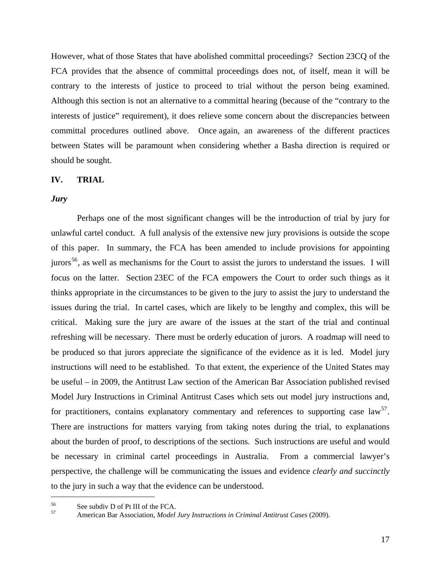However, what of those States that have abolished committal proceedings? Section 23CQ of the FCA provides that the absence of committal proceedings does not, of itself, mean it will be contrary to the interests of justice to proceed to trial without the person being examined. Although this section is not an alternative to a committal hearing (because of the "contrary to the interests of justice" requirement), it does relieve some concern about the discrepancies between committal procedures outlined above. Once again, an awareness of the different practices between States will be paramount when considering whether a Basha direction is required or should be sought.

# **IV. TRIAL**

### *Jury*

Perhaps one of the most significant changes will be the introduction of trial by jury for unlawful cartel conduct. A full analysis of the extensive new jury provisions is outside the scope of this paper. In summary, the FCA has been amended to include provisions for appointing jurors<sup>[56](#page-16-0)</sup>, as well as mechanisms for the Court to assist the jurors to understand the issues. I will focus on the latter. Section 23EC of the FCA empowers the Court to order such things as it thinks appropriate in the circumstances to be given to the jury to assist the jury to understand the issues during the trial. In cartel cases, which are likely to be lengthy and complex, this will be critical. Making sure the jury are aware of the issues at the start of the trial and continual refreshing will be necessary. There must be orderly education of jurors. A roadmap will need to be produced so that jurors appreciate the significance of the evidence as it is led. Model jury instructions will need to be established. To that extent, the experience of the United States may be useful – in 2009, the Antitrust Law section of the American Bar Association published revised Model Jury Instructions in Criminal Antitrust Cases which sets out model jury instructions and, for practitioners, contains explanatory commentary and references to supporting case  $\text{law}^{57}$  $\text{law}^{57}$  $\text{law}^{57}$ . There are instructions for matters varying from taking notes during the trial, to explanations about the burden of proof, to descriptions of the sections. Such instructions are useful and would be necessary in criminal cartel proceedings in Australia. From a commercial lawyer's perspective, the challenge will be communicating the issues and evidence *clearly and succinctly* to the jury in such a way that the evidence can be understood.

<span id="page-16-1"></span><span id="page-16-0"></span> $^{56}$  See subdiv D of Pt III of the FCA.

<sup>57</sup> American Bar Association, *Model Jury Instructions in Criminal Antitrust Cases* (2009).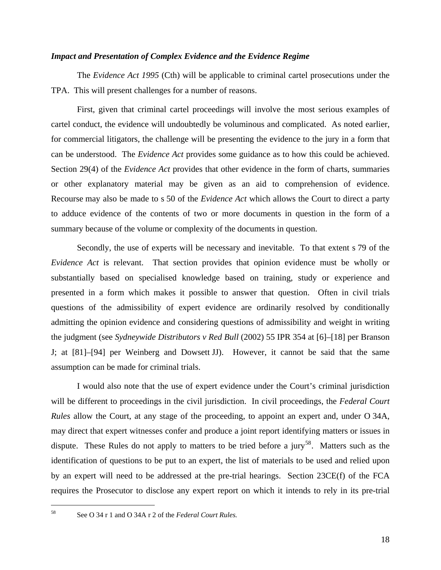#### *Impact and Presentation of Complex Evidence and the Evidence Regime*

The *Evidence Act 1995* (Cth) will be applicable to criminal cartel prosecutions under the TPA. This will present challenges for a number of reasons.

First, given that criminal cartel proceedings will involve the most serious examples of cartel conduct, the evidence will undoubtedly be voluminous and complicated. As noted earlier, for commercial litigators, the challenge will be presenting the evidence to the jury in a form that can be understood. The *Evidence Act* provides some guidance as to how this could be achieved. Section 29(4) of the *Evidence Act* provides that other evidence in the form of charts, summaries or other explanatory material may be given as an aid to comprehension of evidence. Recourse may also be made to s 50 of the *Evidence Act* which allows the Court to direct a party to adduce evidence of the contents of two or more documents in question in the form of a summary because of the volume or complexity of the documents in question.

Secondly, the use of experts will be necessary and inevitable. To that extent s 79 of the *Evidence Act* is relevant. That section provides that opinion evidence must be wholly or substantially based on specialised knowledge based on training, study or experience and presented in a form which makes it possible to answer that question. Often in civil trials questions of the admissibility of expert evidence are ordinarily resolved by conditionally admitting the opinion evidence and considering questions of admissibility and weight in writing the judgment (see *Sydneywide Distributors v Red Bull* (2002) 55 IPR 354 at [6]–[18] per Branson J; at [81]–[94] per Weinberg and Dowsett JJ). However, it cannot be said that the same assumption can be made for criminal trials.

I would also note that the use of expert evidence under the Court's criminal jurisdiction will be different to proceedings in the civil jurisdiction. In civil proceedings, the *Federal Court Rules* allow the Court, at any stage of the proceeding, to appoint an expert and, under O 34A, may direct that expert witnesses confer and produce a joint report identifying matters or issues in dispute. These Rules do not apply to matters to be tried before a jury<sup>[58](#page-17-0)</sup>. Matters such as the identification of questions to be put to an expert, the list of materials to be used and relied upon by an expert will need to be addressed at the pre-trial hearings. Section 23CE(f) of the FCA requires the Prosecutor to disclose any expert report on which it intends to rely in its pre-trial

<span id="page-17-0"></span><sup>58</sup> See O 34 r 1 and O 34A r 2 of the *Federal Court Rules.*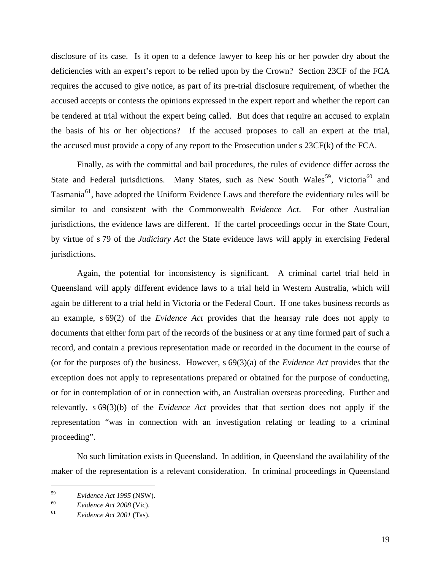disclosure of its case. Is it open to a defence lawyer to keep his or her powder dry about the deficiencies with an expert's report to be relied upon by the Crown? Section 23CF of the FCA requires the accused to give notice, as part of its pre-trial disclosure requirement, of whether the accused accepts or contests the opinions expressed in the expert report and whether the report can be tendered at trial without the expert being called. But does that require an accused to explain the basis of his or her objections? If the accused proposes to call an expert at the trial, the accused must provide a copy of any report to the Prosecution under s 23CF(k) of the FCA.

Finally, as with the committal and bail procedures, the rules of evidence differ across the State and Federal jurisdictions. Many States, such as New South Wales<sup>[59](#page-18-0)</sup>, Victoria<sup>[60](#page-18-1)</sup> and Tasmania<sup>[61](#page-18-2)</sup>, have adopted the Uniform Evidence Laws and therefore the evidentiary rules will be similar to and consistent with the Commonwealth *Evidence Act*. For other Australian jurisdictions, the evidence laws are different. If the cartel proceedings occur in the State Court, by virtue of s 79 of the *Judiciary Act* the State evidence laws will apply in exercising Federal jurisdictions.

Again, the potential for inconsistency is significant. A criminal cartel trial held in Queensland will apply different evidence laws to a trial held in Western Australia, which will again be different to a trial held in Victoria or the Federal Court. If one takes business records as an example, s 69(2) of the *Evidence Act* provides that the hearsay rule does not apply to documents that either form part of the records of the business or at any time formed part of such a record, and contain a previous representation made or recorded in the document in the course of (or for the purposes of) the business. However, s 69(3)(a) of the *Evidence Act* provides that the exception does not apply to representations prepared or obtained for the purpose of conducting, or for in contemplation of or in connection with, an Australian overseas proceeding. Further and relevantly, s 69(3)(b) of the *Evidence Act* provides that that section does not apply if the representation "was in connection with an investigation relating or leading to a criminal proceeding".

No such limitation exists in Queensland. In addition, in Queensland the availability of the maker of the representation is a relevant consideration. In criminal proceedings in Queensland

<span id="page-18-0"></span><sup>59</sup>*Evidence Act 1995* (NSW). 60 *Evidence Act 2008* (Vic). 61 *Evidence Act 2001* (Tas).

<span id="page-18-1"></span>

<span id="page-18-2"></span>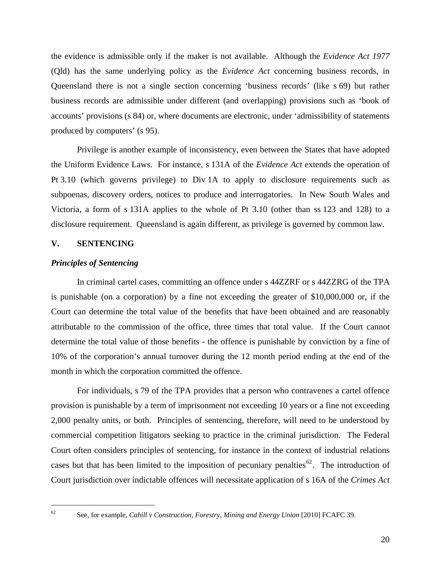the evidence is admissible only if the maker is not available. Although the *Evidence Act 1977*  (Qld) has the same underlying policy as the *Evidence Act* concerning business records, in Queensland there is not a single section concerning 'business records' (like s 69) but rather business records are admissible under different (and overlapping) provisions such as 'book of accounts' provisions (s 84) or, where documents are electronic, under 'admissibility of statements produced by computers' (s 95).

Privilege is another example of inconsistency, even between the States that have adopted the Uniform Evidence Laws. For instance, s 131A of the *Evidence Act* extends the operation of Pt 3.10 (which governs privilege) to Div 1A to apply to disclosure requirements such as subpoenas, discovery orders, notices to produce and interrogatories. In New South Wales and Victoria, a form of s 131A applies to the whole of Pt 3.10 (other than ss 123 and 128) to a disclosure requirement. Queensland is again different, as privilege is governed by common law.

# **V. SENTENCING**

### *Principles of Sentencing*

In criminal cartel cases, committing an offence under s 44ZZRF or s 44ZZRG of the TPA is punishable (on a corporation) by a fine not exceeding the greater of \$10,000,000 or, if the Court can determine the total value of the benefits that have been obtained and are reasonably attributable to the commission of the office, three times that total value. If the Court cannot determine the total value of those benefits - the offence is punishable by conviction by a fine of 10% of the corporation's annual turnover during the 12 month period ending at the end of the month in which the corporation committed the offence.

For individuals, s 79 of the TPA provides that a person who contravenes a cartel offence provision is punishable by a term of imprisonment not exceeding 10 years or a fine not exceeding 2,000 penalty units, or both. Principles of sentencing, therefore, will need to be understood by commercial competition litigators seeking to practice in the criminal jurisdiction. The Federal Court often considers principles of sentencing, for instance in the context of industrial relations cases but that has been limited to the imposition of pecuniary penalties<sup>[62](#page-19-0)</sup>. The introduction of Court jurisdiction over indictable offences will necessitate application of s 16A of the *Crimes Act* 

<span id="page-19-0"></span> $62$ 

<sup>62</sup> See, for example, *Cahill v Construction, Forestry, Mining and Energy Union* [2010] FCAFC 39.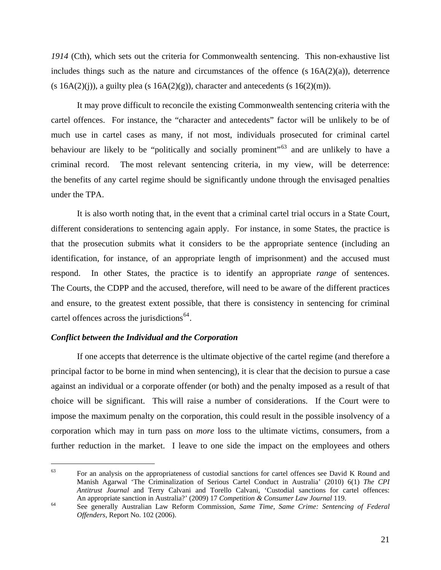*1914* (Cth), which sets out the criteria for Commonwealth sentencing. This non-exhaustive list includes things such as the nature and circumstances of the offence  $(s 16A(2)(a))$ , deterrence  $(s 16A(2)(i))$ , a guilty plea  $(s 16A(2)(g))$ , character and antecedents  $(s 16(2)(m))$ .

It may prove difficult to reconcile the existing Commonwealth sentencing criteria with the cartel offences. For instance, the "character and antecedents" factor will be unlikely to be of much use in cartel cases as many, if not most, individuals prosecuted for criminal cartel behaviour are likely to be "politically and socially prominent"<sup>[63](#page-20-0)</sup> and are unlikely to have a criminal record. The most relevant sentencing criteria, in my view, will be deterrence: the benefits of any cartel regime should be significantly undone through the envisaged penalties under the TPA.

It is also worth noting that, in the event that a criminal cartel trial occurs in a State Court, different considerations to sentencing again apply. For instance, in some States, the practice is that the prosecution submits what it considers to be the appropriate sentence (including an identification, for instance, of an appropriate length of imprisonment) and the accused must respond. In other States, the practice is to identify an appropriate *range* of sentences. The Courts, the CDPP and the accused, therefore, will need to be aware of the different practices and ensure, to the greatest extent possible, that there is consistency in sentencing for criminal cartel offences across the jurisdictions<sup> $64$ </sup>.

# *Conflict between the Individual and the Corporation*

 $\overline{a}$ 

If one accepts that deterrence is the ultimate objective of the cartel regime (and therefore a principal factor to be borne in mind when sentencing), it is clear that the decision to pursue a case against an individual or a corporate offender (or both) and the penalty imposed as a result of that choice will be significant. This will raise a number of considerations. If the Court were to impose the maximum penalty on the corporation, this could result in the possible insolvency of a corporation which may in turn pass on *more* loss to the ultimate victims, consumers, from a further reduction in the market. I leave to one side the impact on the employees and others

<span id="page-20-0"></span><sup>63</sup> For an analysis on the appropriateness of custodial sanctions for cartel offences see David K Round and Manish Agarwal 'The Criminalization of Serious Cartel Conduct in Australia' (2010) 6(1) *The CPI Antitrust Journal* and Terry Calvani and Torello Calvani, 'Custodial sanctions for cartel offences: An appropriate sanction in Australia?' (2009) 17 *Competition & Consumer Law Journal* 119.

<span id="page-20-1"></span><sup>&</sup>lt;sup>64</sup> See generally Australian Law Reform Commission, *Same Time, Same Crime: Sentencing of Federal Offenders,* Report No. 102 (2006).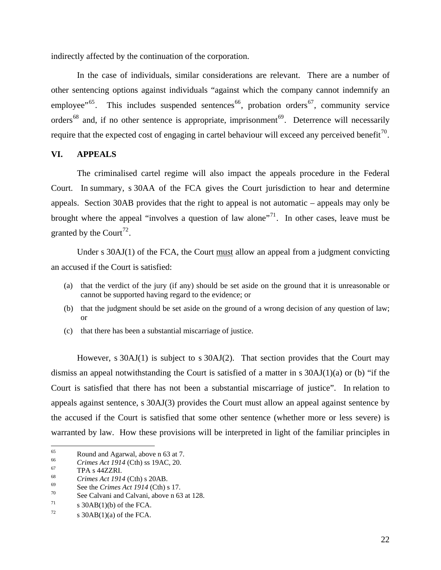indirectly affected by the continuation of the corporation.

In the case of individuals, similar considerations are relevant. There are a number of other sentencing options against individuals "against which the company cannot indemnify an employee"<sup>[65](#page-21-0)</sup>. This includes suspended sentences<sup>[66](#page-21-1)</sup>, probation orders<sup>[67](#page-21-2)</sup>, community service orders<sup>[68](#page-21-3)</sup> and, if no other sentence is appropriate, imprisonment<sup>[69](#page-21-4)</sup>. Deterrence will necessarily require that the expected cost of engaging in cartel behaviour will exceed any perceived benefit<sup>[70](#page-21-5)</sup>.

# **VI. APPEALS**

The criminalised cartel regime will also impact the appeals procedure in the Federal Court. In summary, s 30AA of the FCA gives the Court jurisdiction to hear and determine appeals. Section 30AB provides that the right to appeal is not automatic – appeals may only be brought where the appeal "involves a question of law alone"<sup>[71](#page-21-6)</sup>. In other cases, leave must be granted by the Court<sup>[72](#page-21-7)</sup>.

Under s 30AJ(1) of the FCA, the Court must allow an appeal from a judgment convicting an accused if the Court is satisfied:

- (a) that the verdict of the jury (if any) should be set aside on the ground that it is unreasonable or cannot be supported having regard to the evidence; or
- (b) that the judgment should be set aside on the ground of a wrong decision of any question of law; or
- (c) that there has been a substantial miscarriage of justice.

However, s 30AJ(1) is subject to s 30AJ(2). That section provides that the Court may dismiss an appeal notwithstanding the Court is satisfied of a matter in s  $30AJ(1)(a)$  or (b) "if the Court is satisfied that there has not been a substantial miscarriage of justice". In relation to appeals against sentence, s 30AJ(3) provides the Court must allow an appeal against sentence by the accused if the Court is satisfied that some other sentence (whether more or less severe) is warranted by law. How these provisions will be interpreted in light of the familiar principles in

<span id="page-21-0"></span><sup>65</sup> <sup>65</sup> Round and Agarwal, above n 63 at 7.<br>  $G_{\text{5}}^{66}$  Crimes Act 1014 (Ctb) ss 10AC 20

<span id="page-21-1"></span><sup>&</sup>lt;sup>66</sup> *Crimes Act 1914* (Cth) ss 19AC, 20.<br><sup>67</sup> TPA s 44ZZRI.<br>*Crimes Act 1014* (Cth) s 20AP

<span id="page-21-2"></span>

<span id="page-21-5"></span><span id="page-21-4"></span>

<span id="page-21-3"></span><sup>&</sup>lt;sup>68</sup><br>
<sup>69</sup> See the *Crimes Act 1914* (Cth) s 17.<br>
<sup>70</sup> See Calvani and Calvani, above n 63 at 128.

<span id="page-21-6"></span> $\sigma$  30AB(1)(b) of the FCA.

<span id="page-21-7"></span> $72 \qquad$  s 30AB(1)(a) of the FCA.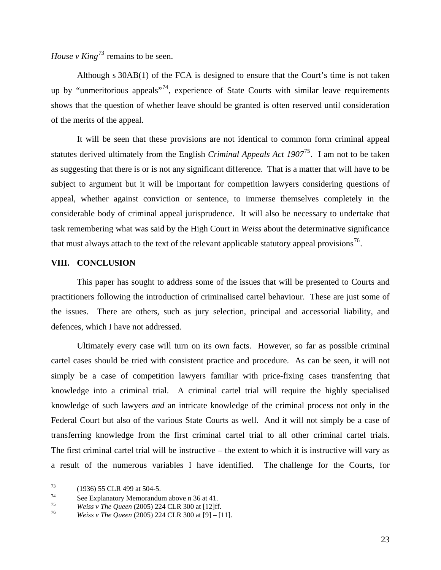*House v King*<sup>[73](#page-22-0)</sup> remains to be seen.

Although s 30AB(1) of the FCA is designed to ensure that the Court's time is not taken up by "unmeritorious appeals"<sup>[74](#page-22-1)</sup>, experience of State Courts with similar leave requirements shows that the question of whether leave should be granted is often reserved until consideration of the merits of the appeal.

It will be seen that these provisions are not identical to common form criminal appeal statutes derived ultimately from the English *Criminal Appeals Act 1907*[75](#page-22-2). I am not to be taken as suggesting that there is or is not any significant difference. That is a matter that will have to be subject to argument but it will be important for competition lawyers considering questions of appeal, whether against conviction or sentence, to immerse themselves completely in the considerable body of criminal appeal jurisprudence. It will also be necessary to undertake that task remembering what was said by the High Court in *Weiss* about the determinative significance that must always attach to the text of the relevant applicable statutory appeal provisions<sup>[76](#page-22-3)</sup>.

# **VIII. CONCLUSION**

This paper has sought to address some of the issues that will be presented to Courts and practitioners following the introduction of criminalised cartel behaviour. These are just some of the issues. There are others, such as jury selection, principal and accessorial liability, and defences, which I have not addressed.

Ultimately every case will turn on its own facts. However, so far as possible criminal cartel cases should be tried with consistent practice and procedure. As can be seen, it will not simply be a case of competition lawyers familiar with price-fixing cases transferring that knowledge into a criminal trial. A criminal cartel trial will require the highly specialised knowledge of such lawyers *and* an intricate knowledge of the criminal process not only in the Federal Court but also of the various State Courts as well. And it will not simply be a case of transferring knowledge from the first criminal cartel trial to all other criminal cartel trials. The first criminal cartel trial will be instructive – the extent to which it is instructive will vary as a result of the numerous variables I have identified. The challenge for the Courts, for

<span id="page-22-0"></span><sup>73 (1936) 55</sup> CLR 499 at 504-5.

<span id="page-22-1"></span><sup>&</sup>lt;sup>74</sup> See Explanatory Memorandum above n 36 at 41.<br> *T*<sup>75</sup> *Weiss v The Queen* (2005) 224 CLR 300 at [12]ff.

<span id="page-22-2"></span>

<span id="page-22-3"></span>*<sup>76</sup> Weiss v The Queen* (2005) 224 CLR 300 at [9] – [11].